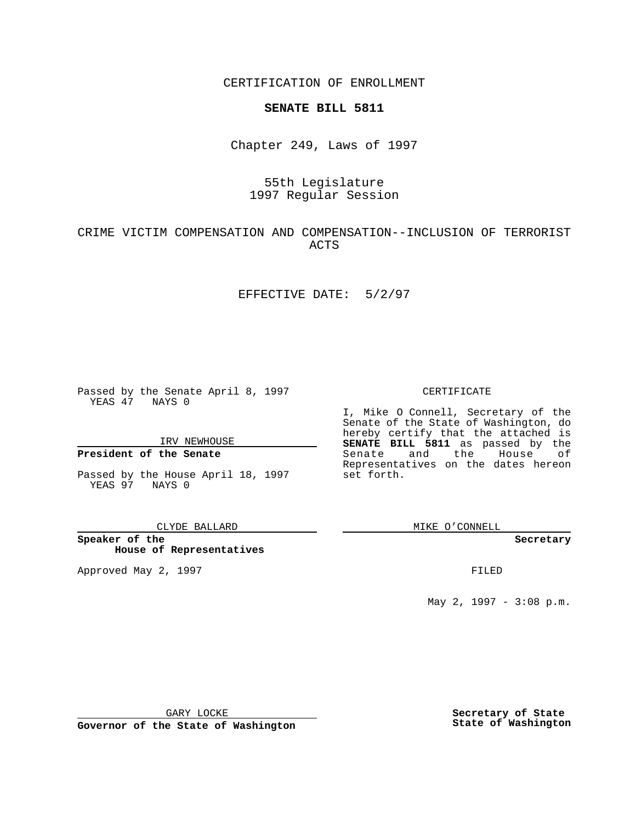CERTIFICATION OF ENROLLMENT

# **SENATE BILL 5811**

Chapter 249, Laws of 1997

# 55th Legislature 1997 Regular Session

## CRIME VICTIM COMPENSATION AND COMPENSATION--INCLUSION OF TERRORIST ACTS

## EFFECTIVE DATE: 5/2/97

Passed by the Senate April 8, 1997 YEAS 47 NAYS 0

IRV NEWHOUSE

## **President of the Senate**

Passed by the House April 18, 1997 YEAS 97 NAYS 0

#### CLYDE BALLARD

**Speaker of the House of Representatives**

Approved May 2, 1997 **FILED** 

### CERTIFICATE

I, Mike O Connell, Secretary of the Senate of the State of Washington, do hereby certify that the attached is **SENATE BILL 5811** as passed by the Senate and the House of Representatives on the dates hereon set forth.

MIKE O'CONNELL

### **Secretary**

May 2, 1997 - 3:08 p.m.

GARY LOCKE

**Governor of the State of Washington**

**Secretary of State State of Washington**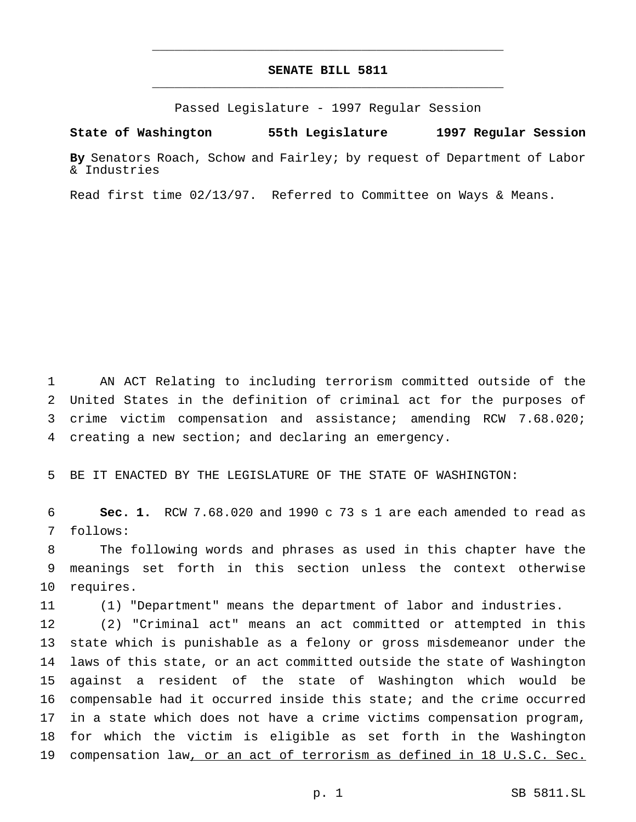# **SENATE BILL 5811** \_\_\_\_\_\_\_\_\_\_\_\_\_\_\_\_\_\_\_\_\_\_\_\_\_\_\_\_\_\_\_\_\_\_\_\_\_\_\_\_\_\_\_\_\_\_\_

\_\_\_\_\_\_\_\_\_\_\_\_\_\_\_\_\_\_\_\_\_\_\_\_\_\_\_\_\_\_\_\_\_\_\_\_\_\_\_\_\_\_\_\_\_\_\_

Passed Legislature - 1997 Regular Session

### **State of Washington 55th Legislature 1997 Regular Session**

**By** Senators Roach, Schow and Fairley; by request of Department of Labor & Industries

Read first time 02/13/97. Referred to Committee on Ways & Means.

 AN ACT Relating to including terrorism committed outside of the United States in the definition of criminal act for the purposes of crime victim compensation and assistance; amending RCW 7.68.020; creating a new section; and declaring an emergency.

BE IT ENACTED BY THE LEGISLATURE OF THE STATE OF WASHINGTON:

 **Sec. 1.** RCW 7.68.020 and 1990 c 73 s 1 are each amended to read as follows:

 The following words and phrases as used in this chapter have the meanings set forth in this section unless the context otherwise requires.

(1) "Department" means the department of labor and industries.

 (2) "Criminal act" means an act committed or attempted in this state which is punishable as a felony or gross misdemeanor under the laws of this state, or an act committed outside the state of Washington against a resident of the state of Washington which would be compensable had it occurred inside this state; and the crime occurred in a state which does not have a crime victims compensation program, for which the victim is eligible as set forth in the Washington 19 compensation law, or an act of terrorism as defined in 18 U.S.C. Sec.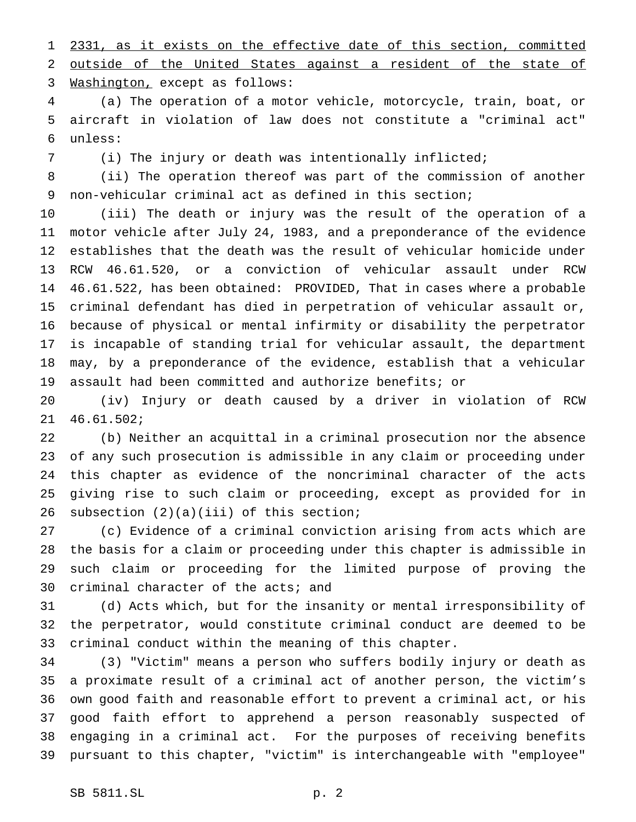2331, as it exists on the effective date of this section, committed outside of the United States against a resident of the state of Washington, except as follows:

 (a) The operation of a motor vehicle, motorcycle, train, boat, or aircraft in violation of law does not constitute a "criminal act" unless:

(i) The injury or death was intentionally inflicted;

 (ii) The operation thereof was part of the commission of another non-vehicular criminal act as defined in this section;

 (iii) The death or injury was the result of the operation of a motor vehicle after July 24, 1983, and a preponderance of the evidence establishes that the death was the result of vehicular homicide under RCW 46.61.520, or a conviction of vehicular assault under RCW 46.61.522, has been obtained: PROVIDED, That in cases where a probable criminal defendant has died in perpetration of vehicular assault or, because of physical or mental infirmity or disability the perpetrator is incapable of standing trial for vehicular assault, the department may, by a preponderance of the evidence, establish that a vehicular assault had been committed and authorize benefits; or

 (iv) Injury or death caused by a driver in violation of RCW 46.61.502;

 (b) Neither an acquittal in a criminal prosecution nor the absence of any such prosecution is admissible in any claim or proceeding under this chapter as evidence of the noncriminal character of the acts giving rise to such claim or proceeding, except as provided for in subsection (2)(a)(iii) of this section;

 (c) Evidence of a criminal conviction arising from acts which are the basis for a claim or proceeding under this chapter is admissible in such claim or proceeding for the limited purpose of proving the criminal character of the acts; and

 (d) Acts which, but for the insanity or mental irresponsibility of the perpetrator, would constitute criminal conduct are deemed to be criminal conduct within the meaning of this chapter.

 (3) "Victim" means a person who suffers bodily injury or death as a proximate result of a criminal act of another person, the victim's own good faith and reasonable effort to prevent a criminal act, or his good faith effort to apprehend a person reasonably suspected of engaging in a criminal act. For the purposes of receiving benefits pursuant to this chapter, "victim" is interchangeable with "employee"